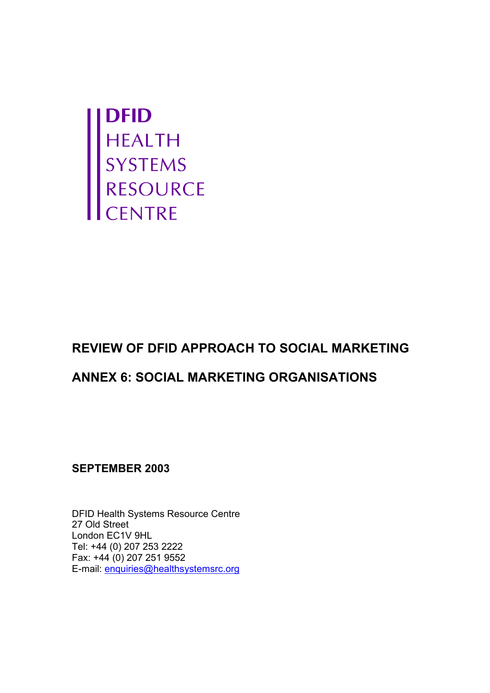

# **REVIEW OF DFID APPROACH TO SOCIAL MARKETING**

## **ANNEX 6: SOCIAL MARKETING ORGANISATIONS**

**SEPTEMBER 2003** 

DFID Health Systems Resource Centre 27 Old Street London EC1V 9HL Tel: +44 (0) 207 253 2222 Fax: +44 (0) 207 251 9552 E-mail: enquiries@healthsystemsrc.org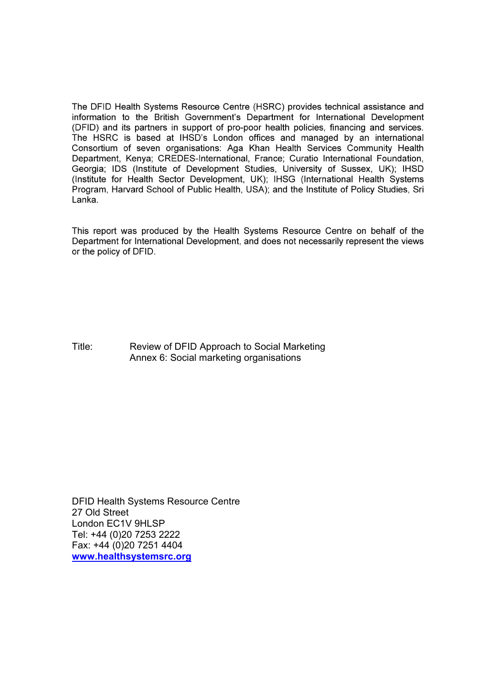The DFID Health Systems Resource Centre (HSRC) provides technical assistance and information to the British Government's Department for International Development (DFID) and its partners in support of pro-poor health policies, financing and services. The HSRC is based at IHSD's London offices and managed by an international Consortium of seven organisations: Aga Khan Health Services Community Health Department, Kenya; CREDES-International, France; Curatio International Foundation, Georgia: IDS (Institute of Development Studies, University of Sussex, UK); IHSD (Institute for Health Sector Development, UK); IHSG (International Health Systems Program, Harvard School of Public Health, USA); and the Institute of Policy Studies, Sri Lanka.

This report was produced by the Health Systems Resource Centre on behalf of the Department for International Development, and does not necessarily represent the views or the policy of DFID.

Title: Review of DFID Approach to Social Marketing Annex 6: Social marketing organisations

DFID Health Systems Resource Centre 27 Old Street London EC1V 9HLSP Tel: +44 (0)20 7253 2222 Fax: +44 (0)20 7251 4404 **www.healthsystemsrc.org**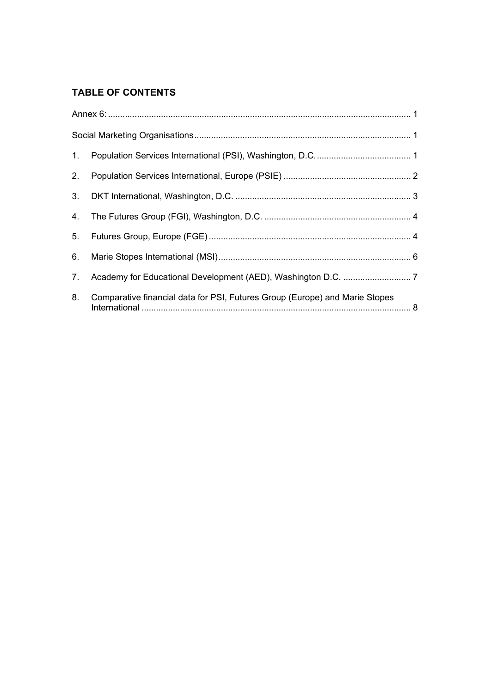## **TABLE OF CONTENTS**

| 2. |                                                                             |  |
|----|-----------------------------------------------------------------------------|--|
|    |                                                                             |  |
|    |                                                                             |  |
|    |                                                                             |  |
|    |                                                                             |  |
|    |                                                                             |  |
| 8. | Comparative financial data for PSI, Futures Group (Europe) and Marie Stopes |  |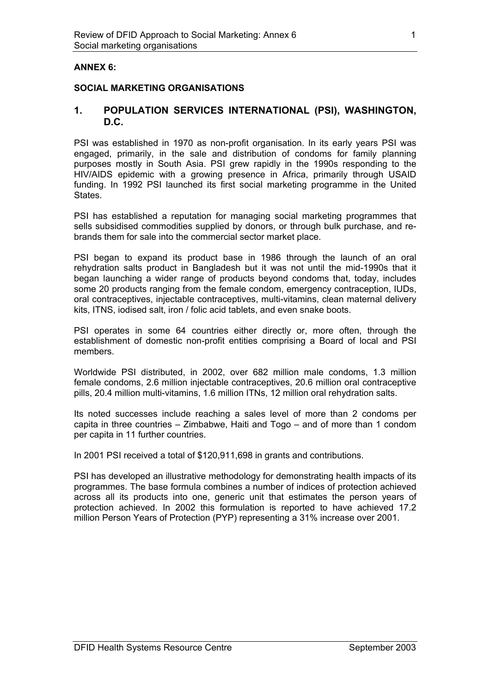#### **ANNEX 6:**

#### **SOCIAL MARKETING ORGANISATIONS**

#### **1. POPULATION SERVICES INTERNATIONAL (PSI), WASHINGTON, D.C.**

PSI was established in 1970 as non-profit organisation. In its early years PSI was engaged, primarily, in the sale and distribution of condoms for family planning purposes mostly in South Asia. PSI grew rapidly in the 1990s responding to the HIV/AIDS epidemic with a growing presence in Africa, primarily through USAID funding. In 1992 PSI launched its first social marketing programme in the United **States** 

PSI has established a reputation for managing social marketing programmes that sells subsidised commodities supplied by donors, or through bulk purchase, and rebrands them for sale into the commercial sector market place.

PSI began to expand its product base in 1986 through the launch of an oral rehydration salts product in Bangladesh but it was not until the mid-1990s that it began launching a wider range of products beyond condoms that, today, includes some 20 products ranging from the female condom, emergency contraception, IUDs, oral contraceptives, injectable contraceptives, multi-vitamins, clean maternal delivery kits, ITNS, iodised salt, iron / folic acid tablets, and even snake boots.

PSI operates in some 64 countries either directly or, more often, through the establishment of domestic non-profit entities comprising a Board of local and PSI members.

Worldwide PSI distributed, in 2002, over 682 million male condoms, 1.3 million female condoms, 2.6 million injectable contraceptives, 20.6 million oral contraceptive pills, 20.4 million multi-vitamins, 1.6 million ITNs, 12 million oral rehydration salts.

Its noted successes include reaching a sales level of more than 2 condoms per capita in three countries – Zimbabwe, Haiti and Togo – and of more than 1 condom per capita in 11 further countries.

In 2001 PSI received a total of \$120,911,698 in grants and contributions.

PSI has developed an illustrative methodology for demonstrating health impacts of its programmes. The base formula combines a number of indices of protection achieved across all its products into one, generic unit that estimates the person years of protection achieved. In 2002 this formulation is reported to have achieved 17.2 million Person Years of Protection (PYP) representing a 31% increase over 2001.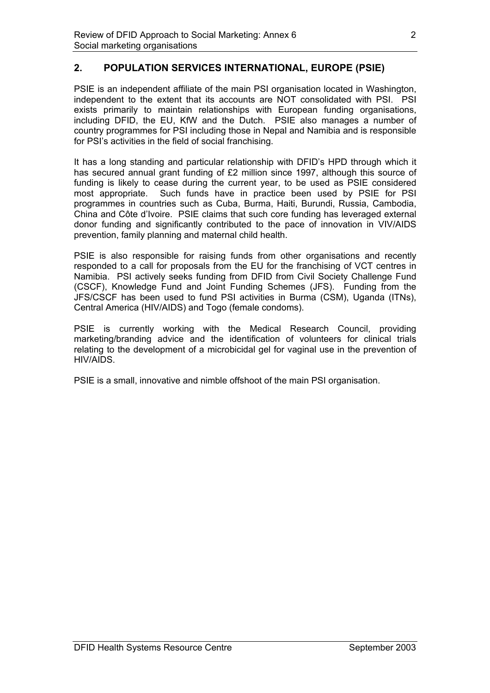## **2. POPULATION SERVICES INTERNATIONAL, EUROPE (PSIE)**

PSIE is an independent affiliate of the main PSI organisation located in Washington, independent to the extent that its accounts are NOT consolidated with PSI. PSI exists primarily to maintain relationships with European funding organisations, including DFID, the EU, KfW and the Dutch. PSIE also manages a number of country programmes for PSI including those in Nepal and Namibia and is responsible for PSI's activities in the field of social franchising.

It has a long standing and particular relationship with DFID's HPD through which it has secured annual grant funding of £2 million since 1997, although this source of funding is likely to cease during the current year, to be used as PSIE considered most appropriate. Such funds have in practice been used by PSIE for PSI programmes in countries such as Cuba, Burma, Haiti, Burundi, Russia, Cambodia, China and Côte d'Ivoire. PSIE claims that such core funding has leveraged external donor funding and significantly contributed to the pace of innovation in VIV/AIDS prevention, family planning and maternal child health.

PSIE is also responsible for raising funds from other organisations and recently responded to a call for proposals from the EU for the franchising of VCT centres in Namibia. PSI actively seeks funding from DFID from Civil Society Challenge Fund (CSCF), Knowledge Fund and Joint Funding Schemes (JFS). Funding from the JFS/CSCF has been used to fund PSI activities in Burma (CSM), Uganda (ITNs), Central America (HIV/AIDS) and Togo (female condoms).

PSIE is currently working with the Medical Research Council, providing marketing/branding advice and the identification of volunteers for clinical trials relating to the development of a microbicidal gel for vaginal use in the prevention of HIV/AIDS.

PSIE is a small, innovative and nimble offshoot of the main PSI organisation.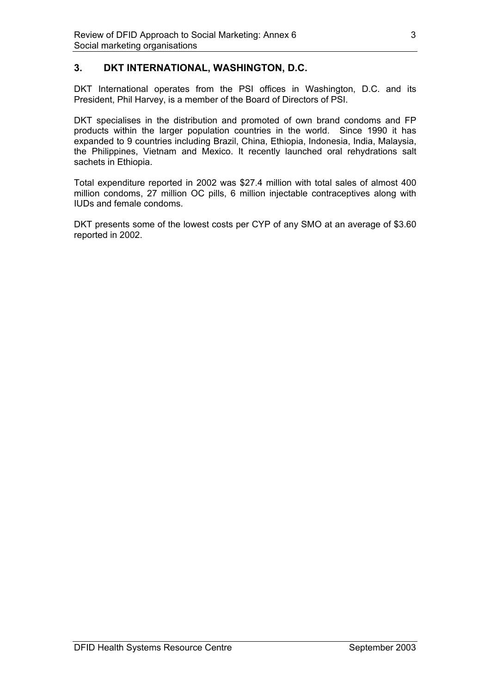## **3. DKT INTERNATIONAL, WASHINGTON, D.C.**

DKT International operates from the PSI offices in Washington, D.C. and its President, Phil Harvey, is a member of the Board of Directors of PSI.

DKT specialises in the distribution and promoted of own brand condoms and FP products within the larger population countries in the world. Since 1990 it has expanded to 9 countries including Brazil, China, Ethiopia, Indonesia, India, Malaysia, the Philippines, Vietnam and Mexico. It recently launched oral rehydrations salt sachets in Ethiopia.

Total expenditure reported in 2002 was \$27.4 million with total sales of almost 400 million condoms, 27 million OC pills, 6 million injectable contraceptives along with IUDs and female condoms.

DKT presents some of the lowest costs per CYP of any SMO at an average of \$3.60 reported in 2002.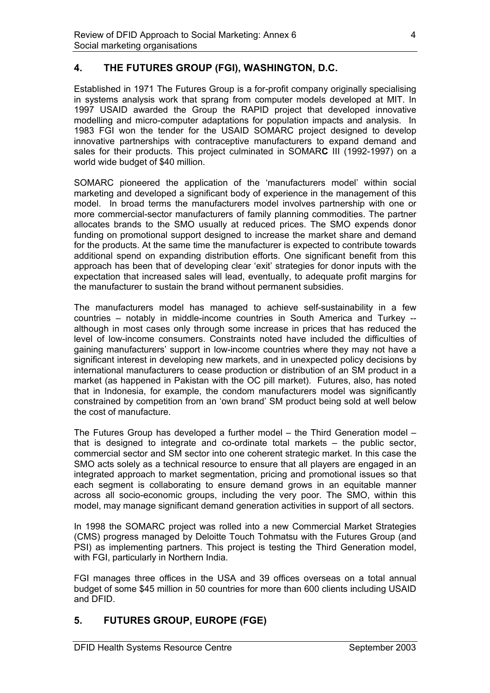## **4. THE FUTURES GROUP (FGI), WASHINGTON, D.C.**

Established in 1971 The Futures Group is a for-profit company originally specialising in systems analysis work that sprang from computer models developed at MIT. In 1997 USAID awarded the Group the RAPID project that developed innovative modelling and micro-computer adaptations for population impacts and analysis. In 1983 FGI won the tender for the USAID SOMARC project designed to develop innovative partnerships with contraceptive manufacturers to expand demand and sales for their products. This project culminated in SOMAR**C** III (1992-1997) on a world wide budget of \$40 million.

SOMARC pioneered the application of the 'manufacturers model' within social marketing and developed a significant body of experience in the management of this model. In broad terms the manufacturers model involves partnership with one or more commercial-sector manufacturers of family planning commodities. The partner allocates brands to the SMO usually at reduced prices. The SMO expends donor funding on promotional support designed to increase the market share and demand for the products. At the same time the manufacturer is expected to contribute towards additional spend on expanding distribution efforts. One significant benefit from this approach has been that of developing clear 'exit' strategies for donor inputs with the expectation that increased sales will lead, eventually, to adequate profit margins for the manufacturer to sustain the brand without permanent subsidies.

The manufacturers model has managed to achieve self-sustainability in a few countries – notably in middle-income countries in South America and Turkey - although in most cases only through some increase in prices that has reduced the level of low-income consumers. Constraints noted have included the difficulties of gaining manufacturers' support in low-income countries where they may not have a significant interest in developing new markets, and in unexpected policy decisions by international manufacturers to cease production or distribution of an SM product in a market (as happened in Pakistan with the OC pill market). Futures, also, has noted that in Indonesia, for example, the condom manufacturers model was significantly constrained by competition from an 'own brand' SM product being sold at well below the cost of manufacture.

The Futures Group has developed a further model – the Third Generation model – that is designed to integrate and co-ordinate total markets – the public sector, commercial sector and SM sector into one coherent strategic market. In this case the SMO acts solely as a technical resource to ensure that all players are engaged in an integrated approach to market segmentation, pricing and promotional issues so that each segment is collaborating to ensure demand grows in an equitable manner across all socio-economic groups, including the very poor. The SMO, within this model, may manage significant demand generation activities in support of all sectors.

In 1998 the SOMARC project was rolled into a new Commercial Market Strategies (CMS) progress managed by Deloitte Touch Tohmatsu with the Futures Group (and PSI) as implementing partners. This project is testing the Third Generation model, with FGI, particularly in Northern India.

FGI manages three offices in the USA and 39 offices overseas on a total annual budget of some \$45 million in 50 countries for more than 600 clients including USAID and DFID.

## **5. FUTURES GROUP, EUROPE (FGE)**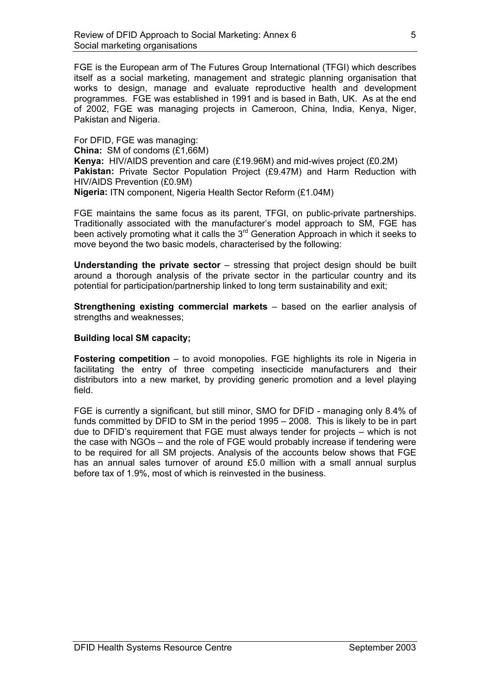FGE is the European arm of The Futures Group International (TFGI) which describes itself as a social marketing, management and strategic planning organisation that works to design, manage and evaluate reproductive health and development programmes. FGE was established in 1991 and is based in Bath, UK. As at the end of 2002, FGE was managing projects in Cameroon, China, India, Kenya, Niger, Pakistan and Nigeria.

For DFID, FGE was managing: **China:** SM of condoms (£1,66M) **Kenya:** HIV/AIDS prevention and care (£19.96M) and mid-wives project (£0.2M) **Pakistan:** Private Sector Population Project (£9.47M) and Harm Reduction with HIV/AIDS Prevention (£0.9M) **Nigeria:** ITN component, Nigeria Health Sector Reform (£1.04M)

FGE maintains the same focus as its parent, TFGI, on public-private partnerships. Traditionally associated with the manufacturer's model approach to SM, FGE has been actively promoting what it calls the 3<sup>rd</sup> Generation Approach in which it seeks to move beyond the two basic models, characterised by the following:

**Understanding the private sector** – stressing that project design should be built around a thorough analysis of the private sector in the particular country and its potential for participation/partnership linked to long term sustainability and exit;

**Strengthening existing commercial markets** – based on the earlier analysis of strengths and weaknesses;

#### **Building local SM capacity;**

**Fostering competition** – to avoid monopolies. FGE highlights its role in Nigeria in facilitating the entry of three competing insecticide manufacturers and their distributors into a new market, by providing generic promotion and a level playing field.

FGE is currently a significant, but still minor, SMO for DFID - managing only 8.4% of funds committed by DFID to SM in the period 1995 – 2008. This is likely to be in part due to DFID's requirement that FGE must always tender for projects – which is not the case with NGOs – and the role of FGE would probably increase if tendering were to be required for all SM projects. Analysis of the accounts below shows that FGE has an annual sales turnover of around £5.0 million with a small annual surplus before tax of 1.9%, most of which is reinvested in the business.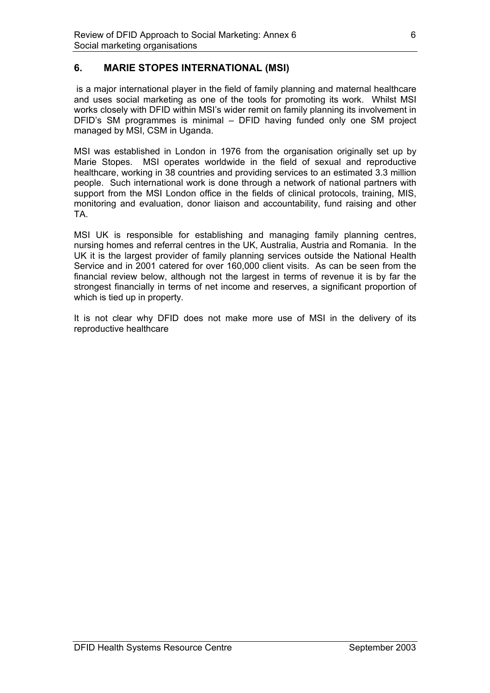## **6. MARIE STOPES INTERNATIONAL (MSI)**

 is a major international player in the field of family planning and maternal healthcare and uses social marketing as one of the tools for promoting its work. Whilst MSI works closely with DFID within MSI's wider remit on family planning its involvement in DFID's SM programmes is minimal – DFID having funded only one SM project managed by MSI, CSM in Uganda.

MSI was established in London in 1976 from the organisation originally set up by Marie Stopes. MSI operates worldwide in the field of sexual and reproductive healthcare, working in 38 countries and providing services to an estimated 3.3 million people. Such international work is done through a network of national partners with support from the MSI London office in the fields of clinical protocols, training, MIS, monitoring and evaluation, donor liaison and accountability, fund raising and other TA.

MSI UK is responsible for establishing and managing family planning centres, nursing homes and referral centres in the UK, Australia, Austria and Romania. In the UK it is the largest provider of family planning services outside the National Health Service and in 2001 catered for over 160,000 client visits. As can be seen from the financial review below, although not the largest in terms of revenue it is by far the strongest financially in terms of net income and reserves, a significant proportion of which is tied up in property.

It is not clear why DFID does not make more use of MSI in the delivery of its reproductive healthcare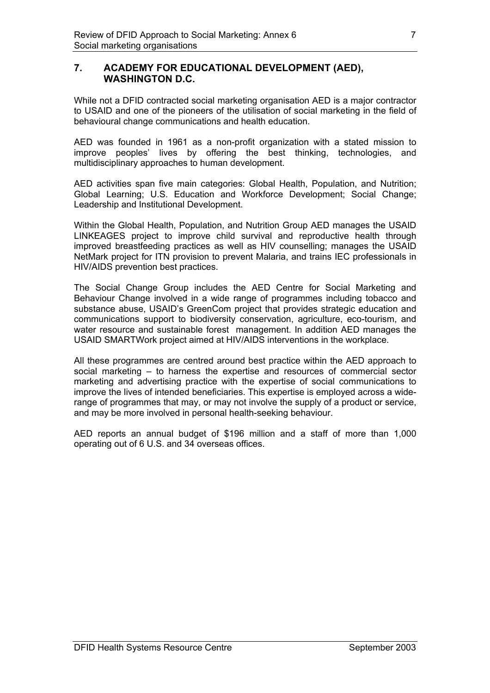#### **7. ACADEMY FOR EDUCATIONAL DEVELOPMENT (AED), WASHINGTON D.C.**

While not a DFID contracted social marketing organisation AED is a major contractor to USAID and one of the pioneers of the utilisation of social marketing in the field of behavioural change communications and health education.

AED was founded in 1961 as a non-profit organization with a stated mission to improve peoples' lives by offering the best thinking, technologies, and multidisciplinary approaches to human development.

AED activities span five main categories: Global Health, Population, and Nutrition; Global Learning; U.S. Education and Workforce Development; Social Change; Leadership and Institutional Development.

Within the Global Health, Population, and Nutrition Group AED manages the USAID LINKEAGES project to improve child survival and reproductive health through improved breastfeeding practices as well as HIV counselling; manages the USAID NetMark project for ITN provision to prevent Malaria, and trains IEC professionals in HIV/AIDS prevention best practices.

The Social Change Group includes the AED Centre for Social Marketing and Behaviour Change involved in a wide range of programmes including tobacco and substance abuse, USAID's GreenCom project that provides strategic education and communications support to biodiversity conservation, agriculture, eco-tourism, and water resource and sustainable forest management. In addition AED manages the USAID SMARTWork project aimed at HIV/AIDS interventions in the workplace.

All these programmes are centred around best practice within the AED approach to social marketing – to harness the expertise and resources of commercial sector marketing and advertising practice with the expertise of social communications to improve the lives of intended beneficiaries. This expertise is employed across a widerange of programmes that may, or may not involve the supply of a product or service, and may be more involved in personal health-seeking behaviour.

AED reports an annual budget of \$196 million and a staff of more than 1,000 operating out of 6 U.S. and 34 overseas offices.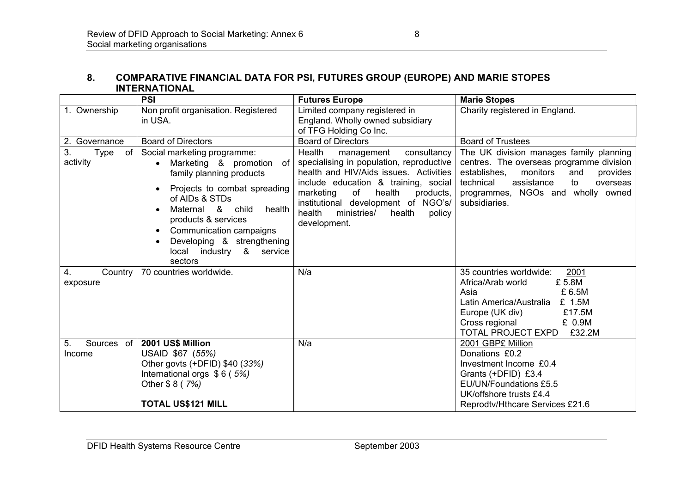#### **8. COMPARATIVE FINANCIAL DATA FOR PSI, FUTURES GROUP (EUROPE) AND MARIE STOPES INTERNATIONAL**

|                                     | <b>PSI</b>                                                                                                                                                                                                                                                                                                    | <b>Futures Europe</b>                                                                                                                                                                                                                                                                                           | <b>Marie Stopes</b>                                                                                                                                                                                                                   |
|-------------------------------------|---------------------------------------------------------------------------------------------------------------------------------------------------------------------------------------------------------------------------------------------------------------------------------------------------------------|-----------------------------------------------------------------------------------------------------------------------------------------------------------------------------------------------------------------------------------------------------------------------------------------------------------------|---------------------------------------------------------------------------------------------------------------------------------------------------------------------------------------------------------------------------------------|
| 1. Ownership                        | Non profit organisation. Registered<br>in USA.                                                                                                                                                                                                                                                                | Limited company registered in<br>England. Wholly owned subsidiary<br>of TFG Holding Co Inc.                                                                                                                                                                                                                     | Charity registered in England.                                                                                                                                                                                                        |
| 2. Governance                       | <b>Board of Directors</b>                                                                                                                                                                                                                                                                                     | <b>Board of Directors</b>                                                                                                                                                                                                                                                                                       | <b>Board of Trustees</b>                                                                                                                                                                                                              |
| 3.<br>of<br><b>Type</b><br>activity | Social marketing programme:<br>Marketing & promotion<br>0f<br>family planning products<br>Projects to combat spreading<br>of AIDs & STDs<br>Maternal &<br>health<br>child<br>products & services<br>Communication campaigns<br>$\bullet$<br>Developing & strengthening<br>local industry & service<br>sectors | Health<br>management<br>consultancy<br>specialising in population, reproductive<br>health and HIV/Aids issues. Activities<br>include education & training, social<br>marketing<br>of<br>health<br>products,<br>institutional development of NGO's/<br>health<br>ministries/<br>health<br>policy<br>development. | The UK division manages family planning<br>centres. The overseas programme division<br>establishes.<br>monitors<br>provides<br>and<br>technical<br>assistance<br>to<br>overseas<br>programmes, NGOs and wholly owned<br>subsidiaries. |
| Country<br>4.<br>exposure           | 70 countries worldwide.                                                                                                                                                                                                                                                                                       | N/a                                                                                                                                                                                                                                                                                                             | 35 countries worldwide:<br>2001<br>£5.8M<br>Africa/Arab world<br>£ 6.5M<br>Asia<br>£ 1.5M<br>Latin America/Australia<br>£17.5M<br>Europe (UK div)<br>Cross regional<br>£ 0.9M<br><b>TOTAL PROJECT EXPD</b><br>£32.2M                  |
| 5.<br>Sources of<br>Income          | 2001 US\$ Million<br>USAID \$67 (55%)<br>Other govts (+DFID) \$40 (33%)<br>International orgs $$6(5%)$<br>Other \$8 (7%)<br><b>TOTAL US\$121 MILL</b>                                                                                                                                                         | N/a                                                                                                                                                                                                                                                                                                             | 2001 GBP£ Million<br>Donations £0.2<br>Investment Income £0.4<br>Grants (+DFID) £3.4<br>EU/UN/Foundations £5.5<br>UK/offshore trusts £4.4<br>Reprodtv/Hthcare Services £21.6                                                          |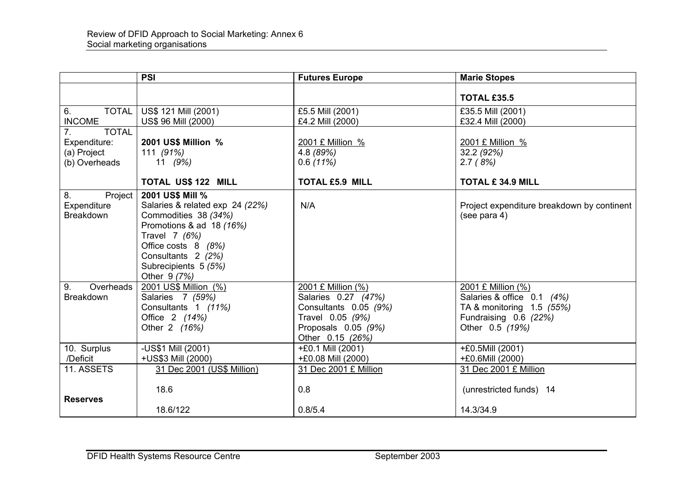|                                                                    | <b>PSI</b>                                                                                                                                                                                                    | <b>Futures Europe</b>                                                                                                             | <b>Marie Stopes</b>                                                                                                       |
|--------------------------------------------------------------------|---------------------------------------------------------------------------------------------------------------------------------------------------------------------------------------------------------------|-----------------------------------------------------------------------------------------------------------------------------------|---------------------------------------------------------------------------------------------------------------------------|
|                                                                    |                                                                                                                                                                                                               |                                                                                                                                   | <b>TOTAL £35.5</b>                                                                                                        |
| <b>TOTAL</b><br>6.<br><b>INCOME</b>                                | US\$ 121 Mill (2001)<br>US\$ 96 Mill (2000)                                                                                                                                                                   | £5.5 Mill (2001)<br>£4.2 Mill (2000)                                                                                              | £35.5 Mill (2001)<br>£32.4 Mill (2000)                                                                                    |
| <b>TOTAL</b><br>7.<br>Expenditure:<br>(a) Project<br>(b) Overheads | 2001 US\$ Million %<br>111 (91%)<br>11 $(9%)$                                                                                                                                                                 | 2001 £ Million %<br>4.8 (89%)<br>0.6(11%)                                                                                         | 2001 £ Million %<br>32.2(92%)<br>2.7(8%)                                                                                  |
|                                                                    | <b>TOTAL US\$ 122 MILL</b>                                                                                                                                                                                    | <b>TOTAL £5.9 MILL</b>                                                                                                            | <b>TOTAL £ 34.9 MILL</b>                                                                                                  |
| 8.<br>Project<br>Expenditure<br><b>Breakdown</b>                   | 2001 US\$ Mill %<br>Salaries & related exp 24 (22%)<br>Commodities 38 (34%)<br>Promotions & ad 18 (16%)<br>Travel 7 (6%)<br>Office costs 8 (8%)<br>Consultants 2 (2%)<br>Subrecipients 5 (5%)<br>Other 9 (7%) | N/A                                                                                                                               | Project expenditure breakdown by continent<br>(see para 4)                                                                |
| Overheads<br>9.<br><b>Breakdown</b>                                | 2001 US\$ Million (%)<br>Salaries 7 (59%)<br>Consultants 1 (11%)<br>Office 2 (14%)<br>Other 2 (16%)                                                                                                           | 2001 £ Million (%)<br>Salaries 0.27 (47%)<br>Consultants 0.05 (9%)<br>Travel 0.05 (9%)<br>Proposals 0.05 (9%)<br>Other 0.15 (26%) | 2001 £ Million (%)<br>Salaries & office 0.1 (4%)<br>TA & monitoring 1.5 (55%)<br>Fundraising 0.6 (22%)<br>Other 0.5 (19%) |
| 10. Surplus                                                        | -US\$1 Mill (2001)                                                                                                                                                                                            | +£0.1 Mill (2001)                                                                                                                 | +£0.5Mill (2001)                                                                                                          |
| /Deficit                                                           | +US\$3 Mill (2000)                                                                                                                                                                                            | +£0.08 Mill (2000)                                                                                                                | +£0.6Mill (2000)                                                                                                          |
| 11. ASSETS                                                         | 31 Dec 2001 (US\$ Million)                                                                                                                                                                                    | 31 Dec 2001 £ Million                                                                                                             | 31 Dec 2001 £ Million                                                                                                     |
| <b>Reserves</b>                                                    | 18.6<br>18.6/122                                                                                                                                                                                              | 0.8<br>0.8/5.4                                                                                                                    | (unrestricted funds) 14<br>14.3/34.9                                                                                      |
|                                                                    |                                                                                                                                                                                                               |                                                                                                                                   |                                                                                                                           |